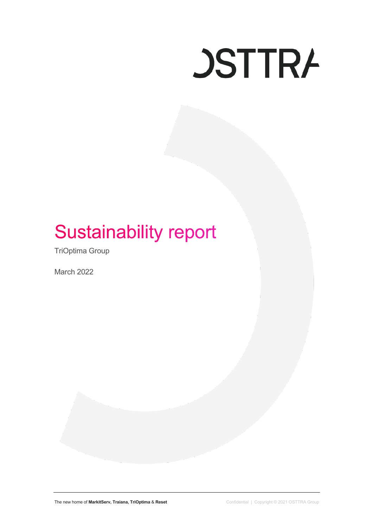

# **Sustainability report**

TriOptima Group

March 2022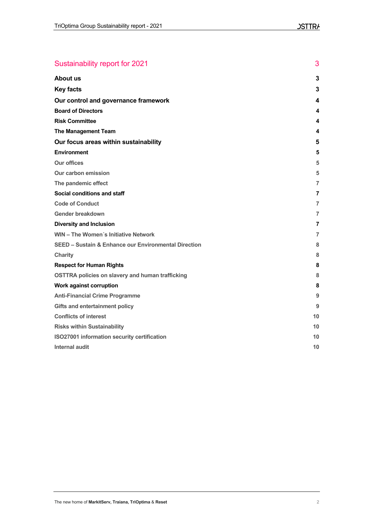| Sustainability report for 2021                                  | 3              |
|-----------------------------------------------------------------|----------------|
| <b>About us</b>                                                 | 3              |
| <b>Key facts</b>                                                | 3              |
| Our control and governance framework                            | 4              |
| <b>Board of Directors</b>                                       | 4              |
| <b>Risk Committee</b>                                           | 4              |
| <b>The Management Team</b>                                      | 4              |
| Our focus areas within sustainability                           | 5              |
| <b>Environment</b>                                              | 5              |
| <b>Our offices</b>                                              | 5              |
| Our carbon emission                                             | 5              |
| The pandemic effect                                             | 7              |
| Social conditions and staff                                     | 7              |
| <b>Code of Conduct</b>                                          | 7              |
| Gender breakdown                                                | $\overline{7}$ |
| <b>Diversity and Inclusion</b>                                  | 7              |
| <b>WIN - The Women's Initiative Network</b>                     | 7              |
| <b>SEED - Sustain &amp; Enhance our Environmental Direction</b> | 8              |
| <b>Charity</b>                                                  | 8              |
| <b>Respect for Human Rights</b>                                 | 8              |
| <b>OSTTRA policies on slavery and human trafficking</b>         | 8              |
| <b>Work against corruption</b>                                  | 8              |
| <b>Anti-Financial Crime Programme</b>                           | 9              |
| <b>Gifts and entertainment policy</b>                           | 9              |
| <b>Conflicts of interest</b>                                    | 10             |
| <b>Risks within Sustainability</b>                              | 10             |
| ISO27001 information security certification                     | 10             |
| <b>Internal audit</b>                                           | 10             |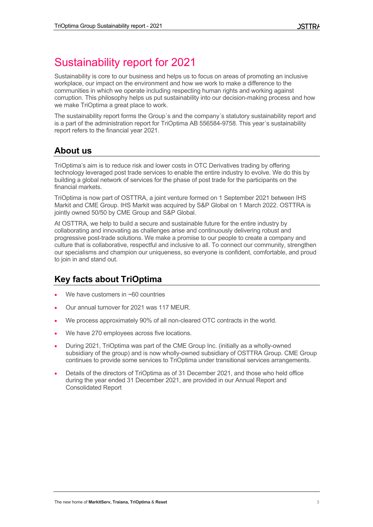# Sustainability report for 2021

Sustainability is core to our business and helps us to focus on areas of promoting an inclusive workplace, our impact on the environment and how we work to make a difference to the communities in which we operate including respecting human rights and working against corruption. This philosophy helps us put sustainability into our decision-making process and how we make TriOptima a great place to work.

The sustainability report forms the Group´s and the company´s statutory sustainability report and is a part of the administration report for TriOptima AB 556584-9758. This year´s sustainability report refers to the financial year 2021.

# **About us**

TriOptima's aim is to reduce risk and lower costs in OTC Derivatives trading by offering technology leveraged post trade services to enable the entire industry to evolve. We do this by building a global network of services for the phase of post trade for the participants on the financial markets.

TriOptima is now part of OSTTRA, a joint venture formed on 1 September 2021 between IHS Markit and CME Group. IHS Markit was acquired by S&P Global on 1 March 2022. OSTTRA is jointly owned 50/50 by CME Group and S&P Global.

At OSTTRA, we help to build a secure and sustainable future for the entire industry by collaborating and innovating as challenges arise and continuously delivering robust and progressive post-trade solutions. We make a promise to our people to create a company and culture that is collaborative, respectful and inclusive to all. To connect our community, strengthen our specialisms and champion our uniqueness, so everyone is confident, comfortable, and proud to join in and stand out.

# **Key facts about TriOptima**

- We have customers in  $~60$  countries
- Our annual turnover for 2021 was 117 MEUR.
- We process approximately 90% of all non-cleared OTC contracts in the world.
- We have 270 employees across five locations.
- During 2021, TriOptima was part of the CME Group Inc. (initially as a wholly-owned subsidiary of the group) and is now wholly-owned subsidiary of OSTTRA Group. CME Group continues to provide some services to TriOptima under transitional services arrangements.
- Details of the directors of TriOptima as of 31 December 2021, and those who held office during the year ended 31 December 2021, are provided in our Annual Report and Consolidated Report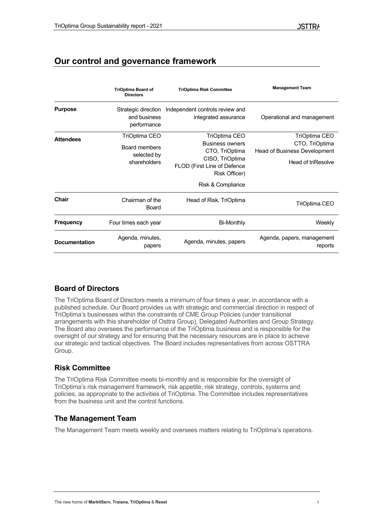# **Our control and governance framework**

|                      | <b>TriOptima Board of</b><br><b>Directors</b>                 | <b>TriOptima Risk Committee</b>                                                                                                                   | <b>Management Team</b>                                                                       |
|----------------------|---------------------------------------------------------------|---------------------------------------------------------------------------------------------------------------------------------------------------|----------------------------------------------------------------------------------------------|
| <b>Purpose</b>       | Strategic direction<br>and business<br>performance            | Independent controls review and<br>integrated assurance                                                                                           | Operational and management                                                                   |
| <b>Attendees</b>     | TriOptima CEO<br>Board members<br>selected by<br>shareholders | TriOptima CEO<br><b>Business owners</b><br>CTO, TriOptima<br>CISO, TriOptima<br>FLOD (First Line of Defence<br>Risk Officer)<br>Risk & Compliance | TriOptima CEO<br>CTO, TriOptima<br><b>Head of Business Development</b><br>Head of triResolve |
| <b>Chair</b>         | Chairman of the<br>Board                                      | Head of Risk, TriOptima                                                                                                                           | TriOptima CEO                                                                                |
| Frequency            | Four times each year                                          | Bi-Monthly                                                                                                                                        | Weekly                                                                                       |
| <b>Documentation</b> | Agenda, minutes,<br>papers                                    | Agenda, minutes, papers                                                                                                                           | Agenda, papers, management<br>reports                                                        |

# **Board of Directors**

The TriOptima Board of Directors meets a minimum of four times a year, in accordance with a published schedule. Our Board provides us with strategic and commercial direction in respect of TriOptima's businesses within the constraints of CME Group Policies (under transitional arrangements with this shareholder of Osttra Group), Delegated Authorities and Group Strategy. The Board also oversees the performance of the TriOptima business and is responsible for the oversight of our strategy and for ensuring that the necessary resources are in place to achieve our strategic and tactical objectives. The Board includes representatives from across OSTTRA Group.

# **Risk Committee**

The TriOptima Risk Committee meets bi-monthly and is responsible for the oversight of TriOptima's risk management framework, risk appetite, risk strategy, controls, systems and policies, as appropriate to the activities of TriOptima. The Committee includes representatives from the business unit and the control functions.

# **The Management Team**

The Management Team meets weekly and oversees matters relating to TriOptima's operations.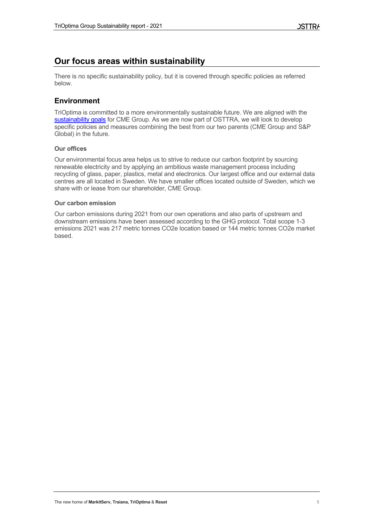# **Our focus areas within sustainability**

There is no specific sustainability policy, but it is covered through specific policies as referred below.

# **Environment**

TriOptima is committed to a more environmentally sustainable future. We are aligned with the sustainability goals for CME Group. As we are now part of OSTTRA, we will look to develop specific policies and measures combining the best from our two parents (CME Group and S&P Global) in the future.

# **Our offices**

Our environmental focus area helps us to strive to reduce our carbon footprint by sourcing renewable electricity and by applying an ambitious waste management process including recycling of glass, paper, plastics, metal and electronics. Our largest office and our external data centres are all located in Sweden. We have smaller offices located outside of Sweden, which we share with or lease from our shareholder, CME Group.

# **Our carbon emission**

Our carbon emissions during 2021 from our own operations and also parts of upstream and downstream emissions have been assessed according to the GHG protocol. Total scope 1-3 emissions 2021 was 217 metric tonnes CO2e location based or 144 metric tonnes CO2e market based.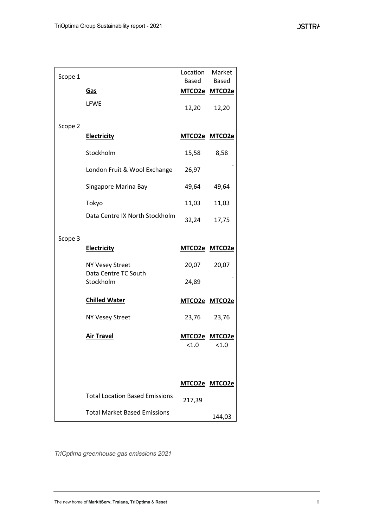| Scope 1 |                                                | Location Market | Based Based            |
|---------|------------------------------------------------|-----------------|------------------------|
|         | Gas                                            |                 | MTCO2e MTCO2e          |
|         | <b>LFWE</b>                                    |                 | 12,20 12,20            |
| Scope 2 |                                                |                 |                        |
|         | <b>Electricity</b>                             |                 | MTCO2e MTCO2e          |
|         | Stockholm                                      | 15,58           | 8,58                   |
|         | London Fruit & Wool Exchange                   | 26,97           |                        |
|         | Singapore Marina Bay                           | 49,64           | 49,64                  |
|         | Tokyo                                          | 11,03           | 11,03                  |
|         | Data Centre IX North Stockholm                 | 32,24           | 17,75                  |
| Scope 3 |                                                |                 |                        |
|         | <b>Electricity</b>                             |                 | MTCO2e MTCO2e          |
|         | <b>NY Vesey Street</b><br>Data Centre TC South | 20,07           | 20,07                  |
|         | Stockholm                                      | 24,89           |                        |
|         | <b>Chilled Water</b>                           |                 | MTCO2e MTCO2e          |
|         | <b>NY Vesey Street</b>                         | 23,76           | 23,76                  |
|         | <b>Air Travel</b>                              | < 1.0           | MTCO2e MTCO2e<br>< 1.0 |
|         |                                                |                 |                        |
|         |                                                | MTCO2e MTCO2e   |                        |
|         | <b>Total Location Based Emissions</b>          | 217,39          |                        |
|         | <b>Total Market Based Emissions</b>            |                 | 144,03                 |

*TriOptima greenhouse gas emissions 2021*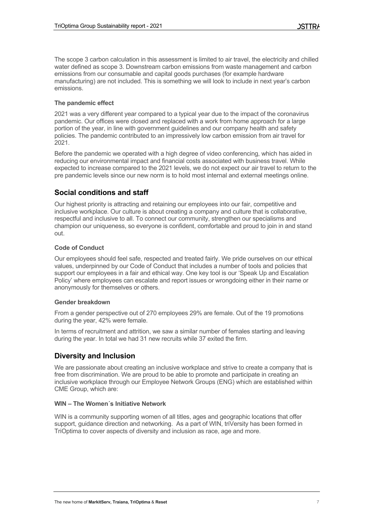The scope 3 carbon calculation in this assessment is limited to air travel, the electricity and chilled water defined as scope 3. Downstream carbon emissions from waste management and carbon emissions from our consumable and capital goods purchases (for example hardware manufacturing) are not included. This is something we will look to include in next year's carbon emissions.

## **The pandemic effect**

2021 was a very different year compared to a typical year due to the impact of the coronavirus pandemic. Our offices were closed and replaced with a work from home approach for a large portion of the year, in line with government guidelines and our company health and safety policies. The pandemic contributed to an impressively low carbon emission from air travel for 2021.

Before the pandemic we operated with a high degree of video conferencing, which has aided in reducing our environmental impact and financial costs associated with business travel. While expected to increase compared to the 2021 levels, we do not expect our air travel to return to the pre pandemic levels since our new norm is to hold most internal and external meetings online.

# **Social conditions and staff**

Our highest priority is attracting and retaining our employees into our fair, competitive and inclusive workplace. Our culture is about creating a company and culture that is collaborative, respectful and inclusive to all. To connect our community, strengthen our specialisms and champion our uniqueness, so everyone is confident, comfortable and proud to join in and stand out.

# **Code of Conduct**

Our employees should feel safe, respected and treated fairly. We pride ourselves on our ethical values, underpinned by our Code of Conduct that includes a number of tools and policies that support our employees in a fair and ethical way. One key tool is our 'Speak Up and Escalation Policy' where employees can escalate and report issues or wrongdoing either in their name or anonymously for themselves or others.

## **Gender breakdown**

From a gender perspective out of 270 employees 29% are female. Out of the 19 promotions during the year, 42% were female.

In terms of recruitment and attrition, we saw a similar number of females starting and leaving during the year. In total we had 31 new recruits while 37 exited the firm.

# **Diversity and Inclusion**

We are passionate about creating an inclusive workplace and strive to create a company that is free from discrimination. We are proud to be able to promote and participate in creating an inclusive workplace through our Employee Network Groups (ENG) which are established within CME Group, which are:

## **WIN – The Women´s Initiative Network**

WIN is a community supporting women of all titles, ages and geographic locations that offer support, guidance direction and networking. As a part of WIN, triVersity has been formed in TriOptima to cover aspects of diversity and inclusion as race, age and more.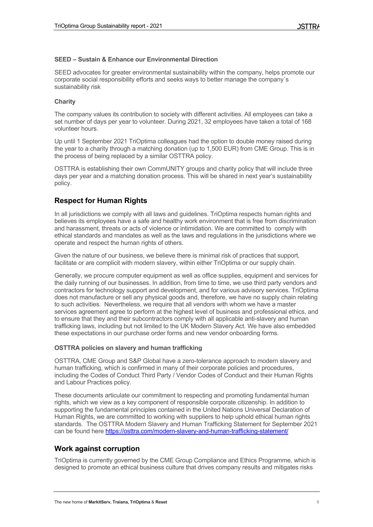## **SEED – Sustain & Enhance our Environmental Direction**

SEED advocates for greater environmental sustainability within the company, helps promote our corporate social responsibility efforts and seeks ways to better manage the company´s sustainability risk

#### **Charity**

The company values its contribution to society with different activities. All employees can take a set number of days per year to volunteer. During 2021, 32 employees have taken a total of 168 volunteer hours.

Up until 1 September 2021 TriOptima colleagues had the option to double money raised during the year to a charity through a matching donation (up to 1,500 EUR) from CME Group. This is in the process of being replaced by a similar OSTTRA policy.

OSTTRA is establishing their own CommUNITY groups and charity policy that will include three days per year and a matching donation process. This will be shared in next year's sustainability policy.

# **Respect for Human Rights**

In all jurisdictions we comply with all laws and guidelines. TriOptima respects human rights and believes its employees have a safe and healthy work environment that is free from discrimination and harassment, threats or acts of violence or intimidation. We are committed to comply with ethical standards and mandates as well as the laws and regulations in the jurisdictions where we operate and respect the human rights of others.

Given the nature of our business, we believe there is minimal risk of practices that support, facilitate or are complicit with modern slavery, within either TriOptima or our supply chain.

Generally, we procure computer equipment as well as office supplies, equipment and services for the daily running of our businesses. In addition, from time to time, we use third party vendors and contractors for technology support and development, and for various advisory services. TriOptima does not manufacture or sell any physical goods and, therefore, we have no supply chain relating to such activities. Nevertheless, we require that all vendors with whom we have a master services agreement agree to perform at the highest level of business and professional ethics, and to ensure that they and their subcontractors comply with all applicable anti-slavery and human trafficking laws, including but not limited to the UK Modern Slavery Act. We have also embedded these expectations in our purchase order forms and new vendor onboarding forms.

## **OSTTRA policies on slavery and human trafficking**

OSTTRA, CME Group and S&P Global have a zero-tolerance approach to modern slavery and human trafficking, which is confirmed in many of their corporate policies and procedures, including the Codes of Conduct Third Party / Vendor Codes of Conduct and their Human Rights and Labour Practices policy.

These documents articulate our commitment to respecting and promoting fundamental human rights, which we view as a key component of responsible corporate citizenship. In addition to supporting the fundamental principles contained in the United Nations Universal Declaration of Human Rights, we are committed to working with suppliers to help uphold ethical human rights standards. The OSTTRA Modern Slavery and Human Trafficking Statement for September 2021 can be found here https://osttra.com/modern-slavery-and-human-trafficking-statement/

# **Work against corruption**

TriOptima is currently governed by the CME Group Compliance and Ethics Programme, which is designed to promote an ethical business culture that drives company results and mitigates risks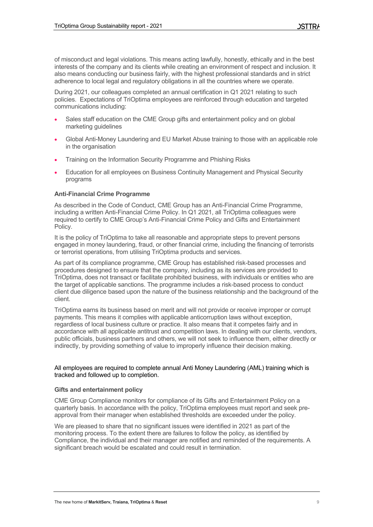of misconduct and legal violations. This means acting lawfully, honestly, ethically and in the best interests of the company and its clients while creating an environment of respect and inclusion. It also means conducting our business fairly, with the highest professional standards and in strict adherence to local legal and regulatory obligations in all the countries where we operate.

During 2021, our colleagues completed an annual certification in Q1 2021 relating to such policies. Expectations of TriOptima employees are reinforced through education and targeted communications including:

- Sales staff education on the CME Group gifts and entertainment policy and on global marketing quidelines
- Global Anti-Money Laundering and EU Market Abuse training to those with an applicable role in the organisation
- Training on the Information Security Programme and Phishing Risks
- Education for all employees on Business Continuity Management and Physical Security programs

# **Anti-Financial Crime Programme**

As described in the Code of Conduct, CME Group has an Anti-Financial Crime Programme, including a written Anti-Financial Crime Policy. In Q1 2021, all TriOptima colleagues were required to certify to CME Group's Anti-Financial Crime Policy and Gifts and Entertainment Policy.

It is the policy of TriOptima to take all reasonable and appropriate steps to prevent persons engaged in money laundering, fraud, or other financial crime, including the financing of terrorists or terrorist operations, from utilising TriOptima products and services.

As part of its compliance programme, CME Group has established risk-based processes and procedures designed to ensure that the company, including as its services are provided to TriOptima, does not transact or facilitate prohibited business, with individuals or entities who are the target of applicable sanctions. The programme includes a risk-based process to conduct client due diligence based upon the nature of the business relationship and the background of the client.

TriOptima earns its business based on merit and will not provide or receive improper or corrupt payments. This means it complies with applicable anticorruption laws without exception, regardless of local business culture or practice. It also means that it competes fairly and in accordance with all applicable antitrust and competition laws. In dealing with our clients, vendors, public officials, business partners and others, we will not seek to influence them, either directly or indirectly, by providing something of value to improperly influence their decision making.

## All employees are required to complete annual Anti Money Laundering (AML) training which is tracked and followed up to completion.

## **Gifts and entertainment policy**

CME Group Compliance monitors for compliance of its Gifts and Entertainment Policy on a quarterly basis. In accordance with the policy, TriOptima employees must report and seek preapproval from their manager when established thresholds are exceeded under the policy.

We are pleased to share that no significant issues were identified in 2021 as part of the monitoring process. To the extent there are failures to follow the policy, as identified by Compliance, the individual and their manager are notified and reminded of the requirements. A significant breach would be escalated and could result in termination.